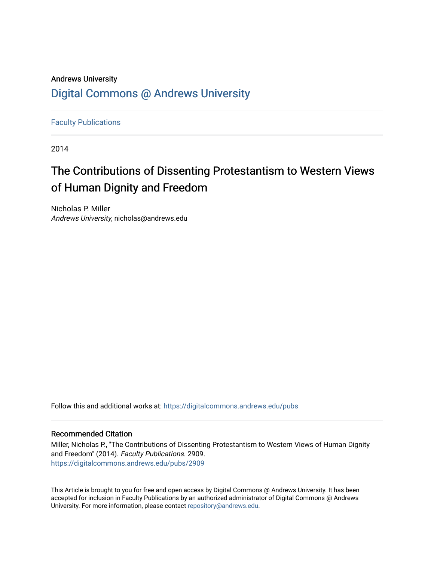# Andrews University [Digital Commons @ Andrews University](https://digitalcommons.andrews.edu/)

[Faculty Publications](https://digitalcommons.andrews.edu/pubs)

2014

# The Contributions of Dissenting Protestantism to Western Views of Human Dignity and Freedom

Nicholas P. Miller Andrews University, nicholas@andrews.edu

Follow this and additional works at: [https://digitalcommons.andrews.edu/pubs](https://digitalcommons.andrews.edu/pubs?utm_source=digitalcommons.andrews.edu%2Fpubs%2F2909&utm_medium=PDF&utm_campaign=PDFCoverPages) 

# Recommended Citation

Miller, Nicholas P., "The Contributions of Dissenting Protestantism to Western Views of Human Dignity and Freedom" (2014). Faculty Publications. 2909. [https://digitalcommons.andrews.edu/pubs/2909](https://digitalcommons.andrews.edu/pubs/2909?utm_source=digitalcommons.andrews.edu%2Fpubs%2F2909&utm_medium=PDF&utm_campaign=PDFCoverPages) 

This Article is brought to you for free and open access by Digital Commons @ Andrews University. It has been accepted for inclusion in Faculty Publications by an authorized administrator of Digital Commons @ Andrews University. For more information, please contact [repository@andrews.edu](mailto:repository@andrews.edu).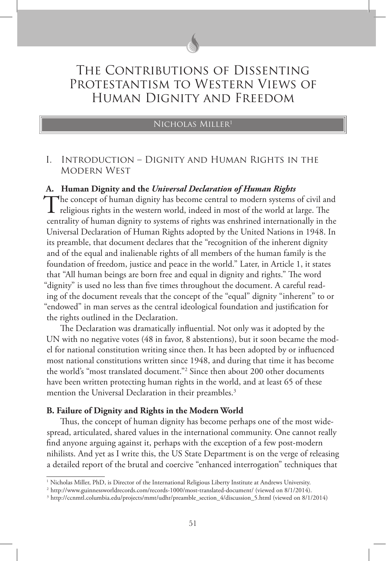# The Contributions of Dissenting Protestantism to Western Views of Human Dignity and Freedom

Author|Title

# Nicholas Miller1

# I. Introduction – Dignity and Human Rights in the MODERN WEST

# **A. Human Dignity and the** *Universal Declaration of Human Rights*

The concept of human dignity has become central to modern systems of civil and religious rights in the western world, indeed in most of the world at large. The centrality of human dignity to systems of rights was enshrined internationally in the Universal Declaration of Human Rights adopted by the United Nations in 1948. In its preamble, that document declares that the "recognition of the inherent dignity and of the equal and inalienable rights of all members of the human family is the foundation of freedom, justice and peace in the world." Later, in Article 1, it states that "All human beings are born free and equal in dignity and rights." The word "dignity" is used no less than five times throughout the document. A careful reading of the document reveals that the concept of the "equal" dignity "inherent" to or "endowed" in man serves as the central ideological foundation and justification for the rights outlined in the Declaration.

The Declaration was dramatically influential. Not only was it adopted by the UN with no negative votes (48 in favor, 8 abstentions), but it soon became the model for national constitution writing since then. It has been adopted by or influenced most national constitutions written since 1948, and during that time it has become the world's "most translated document."2 Since then about 200 other documents have been written protecting human rights in the world, and at least 65 of these mention the Universal Declaration in their preambles.<sup>3</sup>

#### **B. Failure of Dignity and Rights in the Modern World**

Thus, the concept of human dignity has become perhaps one of the most widespread, articulated, shared values in the international community. One cannot really find anyone arguing against it, perhaps with the exception of a few post-modern nihilists. And yet as I write this, the US State Department is on the verge of releasing a detailed report of the brutal and coercive "enhanced interrogation" techniques that

<sup>1</sup> Nicholas Miller, PhD, is Director of the International Religious Liberty Institute at Andrews University.

<sup>2</sup> http://www.guinnessworldrecords.com/records-1000/most-translated-document/ (viewed on 8/1/2014).

<sup>3</sup> http://ccnmtl.columbia.edu/projects/mmt/udhr/preamble\_section\_4/discussion\_5.html (viewed on 8/1/2014)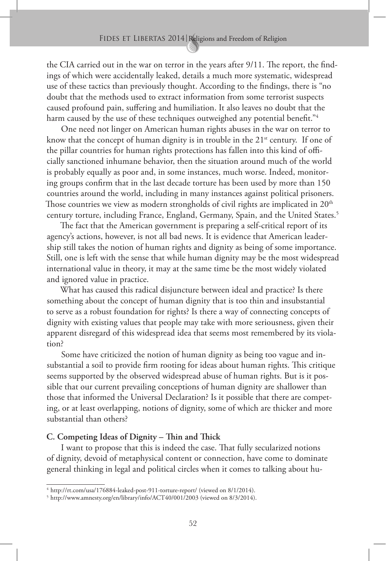the CIA carried out in the war on terror in the years after  $9/11$ . The report, the findings of which were accidentally leaked, details a much more systematic, widespread use of these tactics than previously thought. According to the findings, there is "no doubt that the methods used to extract information from some terrorist suspects caused profound pain, suffering and humiliation. It also leaves no doubt that the harm caused by the use of these techniques outweighed any potential benefit."<sup>4</sup>

One need not linger on American human rights abuses in the war on terror to know that the concept of human dignity is in trouble in the  $21<sup>st</sup>$  century. If one of the pillar countries for human rights protections has fallen into this kind of officially sanctioned inhumane behavior, then the situation around much of the world is probably equally as poor and, in some instances, much worse. Indeed, monitoring groups confirm that in the last decade torture has been used by more than 150 countries around the world, including in many instances against political prisoners. Those countries we view as modern strongholds of civil rights are implicated in 20<sup>th</sup> century torture, including France, England, Germany, Spain, and the United States.<sup>5</sup>

The fact that the American government is preparing a self-critical report of its agency's actions, however, is not all bad news. It is evidence that American leadership still takes the notion of human rights and dignity as being of some importance. Still, one is left with the sense that while human dignity may be the most widespread international value in theory, it may at the same time be the most widely violated and ignored value in practice.

What has caused this radical disjuncture between ideal and practice? Is there something about the concept of human dignity that is too thin and insubstantial to serve as a robust foundation for rights? Is there a way of connecting concepts of dignity with existing values that people may take with more seriousness, given their apparent disregard of this widespread idea that seems most remembered by its violation?

Some have criticized the notion of human dignity as being too vague and insubstantial a soil to provide firm rooting for ideas about human rights. This critique seems supported by the observed widespread abuse of human rights. But is it possible that our current prevailing conceptions of human dignity are shallower than those that informed the Universal Declaration? Is it possible that there are competing, or at least overlapping, notions of dignity, some of which are thicker and more substantial than others?

## **C. Competing Ideas of Dignity – !in and !ick**

I want to propose that this is indeed the case. That fully secularized notions of dignity, devoid of metaphysical content or connection, have come to dominate general thinking in legal and political circles when it comes to talking about hu-

<sup>4</sup> http://rt.com/usa/176884-leaked-post-911-torture-report/ (viewed on 8/1/2014).

<sup>5</sup> http://www.amnesty.org/en/library/info/ACT40/001/2003 (viewed on 8/3/2014).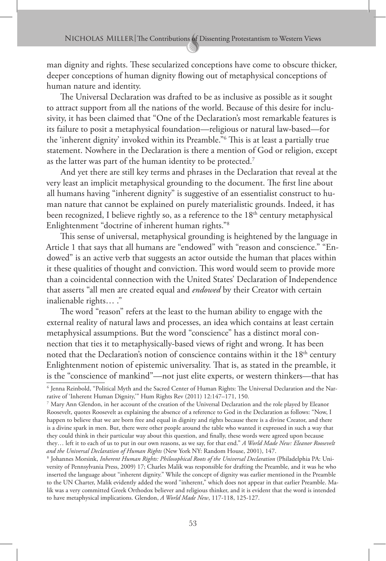man dignity and rights. These secularized conceptions have come to obscure thicker, deeper conceptions of human dignity flowing out of metaphysical conceptions of human nature and identity.

The Universal Declaration was drafted to be as inclusive as possible as it sought to attract support from all the nations of the world. Because of this desire for inclusivity, it has been claimed that "One of the Declaration's most remarkable features is its failure to posit a metaphysical foundation—religious or natural law-based—for the 'inherent dignity' invoked within its Preamble."<sup>6</sup> This is at least a partially true statement. Nowhere in the Declaration is there a mention of God or religion, except as the latter was part of the human identity to be protected. $^7$ 

And yet there are still key terms and phrases in the Declaration that reveal at the very least an implicit metaphysical grounding to the document. The first line about all humans having "inherent dignity" is suggestive of an essentialist construct to human nature that cannot be explained on purely materialistic grounds. Indeed, it has been recognized, I believe rightly so, as a reference to the  $18<sup>th</sup>$  century metaphysical Enlightenment "doctrine of inherent human rights."8

This sense of universal, metaphysical grounding is heightened by the language in Article 1 that says that all humans are "endowed" with "reason and conscience." "Endowed" is an active verb that suggests an actor outside the human that places within it these qualities of thought and conviction. This word would seem to provide more than a coincidental connection with the United States' Declaration of Independence that asserts "all men are created equal and *endowed* by their Creator with certain inalienable rights… ."

The word "reason" refers at the least to the human ability to engage with the external reality of natural laws and processes, an idea which contains at least certain metaphysical assumptions. But the word "conscience" has a distinct moral connection that ties it to metaphysically-based views of right and wrong. It has been noted that the Declaration's notion of conscience contains within it the 18<sup>th</sup> century Enlightenment notion of epistemic universality. That is, as stated in the preamble, it is the "conscience of mankind"—not just elite experts, or western thinkers—that has

<sup>&</sup>lt;sup>6</sup> Jenna Reinbold, "Political Myth and the Sacred Center of Human Rights: The Universal Declaration and the Narrative of 'Inherent Human Dignity,'" Hum Rights Rev (2011) 12:147–171, 150.

<sup>7</sup> Mary Ann Glendon, in her account of the creation of the Universal Declaration and the role played by Eleanor Roosevelt, quotes Roosevelt as explaining the absence of a reference to God in the Declaration as follows: "Now, I happen to believe that we are born free and equal in dignity and rights because there is a divine Creator, and there is a divine spark in men. But, there were other people around the table who wanted it expressed in such a way that they could think in their particular way about this question, and finally, these words were agreed upon because they… left it to each of us to put in our own reasons, as we say, for that end." *A World Made New: Eleanor Roosevelt and the Universal Declaration of Human Rights* (New York NY: Random House, 2001), 147.

<sup>8</sup> Johannes Morsink, *Inherent Human Rights: Philosophical Roots of the Universal Declaration* (Philadelphia PA: University of Pennsylvania Press, 2009) 17; Charles Malik was responsible for drafting the Preamble, and it was he who inserted the language about "inherent dignity." While the concept of dignity was earlier mentioned in the Preamble to the UN Charter, Malik evidently added the word "inherent," which does not appear in that earlier Preamble. Malik was a very committed Greek Orthodox believer and religious thinker, and it is evident that the word is intended to have metaphysical implications. Glendon, *A World Made New*, 117-118, 125-127.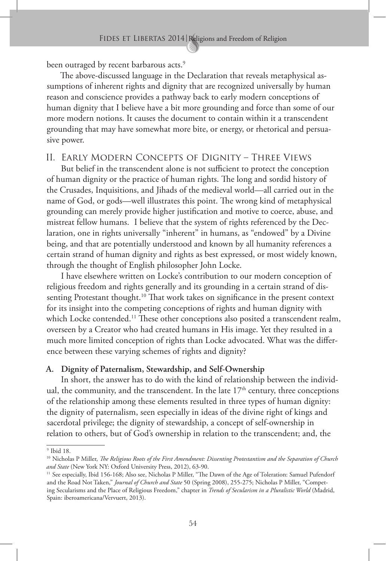been outraged by recent barbarous acts.<sup>9</sup>

The above-discussed language in the Declaration that reveals metaphysical assumptions of inherent rights and dignity that are recognized universally by human reason and conscience provides a pathway back to early modern conceptions of human dignity that I believe have a bit more grounding and force than some of our more modern notions. It causes the document to contain within it a transcendent grounding that may have somewhat more bite, or energy, or rhetorical and persuasive power.

# II. Early Modern Concepts of Dignity – Three Views

But belief in the transcendent alone is not sufficient to protect the conception of human dignity or the practice of human rights. The long and sordid history of the Crusades, Inquisitions, and Jihads of the medieval world—all carried out in the name of God, or gods—well illustrates this point. The wrong kind of metaphysical grounding can merely provide higher justification and motive to coerce, abuse, and mistreat fellow humans. I believe that the system of rights referenced by the Declaration, one in rights universally "inherent" in humans, as "endowed" by a Divine being, and that are potentially understood and known by all humanity references a certain strand of human dignity and rights as best expressed, or most widely known, through the thought of English philosopher John Locke.

I have elsewhere written on Locke's contribution to our modern conception of religious freedom and rights generally and its grounding in a certain strand of dissenting Protestant thought.<sup>10</sup> That work takes on significance in the present context for its insight into the competing conceptions of rights and human dignity with which Locke contended.<sup>11</sup> These other conceptions also posited a transcendent realm, overseen by a Creator who had created humans in His image. Yet they resulted in a much more limited conception of rights than Locke advocated. What was the difference between these varying schemes of rights and dignity?

## **A. Dignity of Paternalism, Stewardship, and Self-Ownership**

In short, the answer has to do with the kind of relationship between the individual, the community, and the transcendent. In the late  $17<sup>th</sup>$  century, three conceptions of the relationship among these elements resulted in three types of human dignity: the dignity of paternalism, seen especially in ideas of the divine right of kings and sacerdotal privilege; the dignity of stewardship, a concept of self-ownership in relation to others, but of God's ownership in relation to the transcendent; and, the

<sup>9</sup> Ibid 18.

<sup>&</sup>lt;sup>10</sup> Nicholas P Miller, *The Religious Roots of the First Amendment: Dissenting Protestantism and the Separation of Church and State (New York NY: Oxford University Press, 2012), 63-90.* 

<sup>&</sup>lt;sup>11</sup> See especially, Ibid 156-168; Also see, Nicholas P Miller, "The Dawn of the Age of Toleration: Samuel Pufendorf and the Road Not Taken," *Journal of Church and State* 50 (Spring 2008), 255-275; Nicholas P Miller, "Competing Secularisms and the Place of Religious Freedom," chapter in *Trends of Secularism in a Pluralistic World* (Madrid, Spain: iberoamericana/Vervuert, 2013).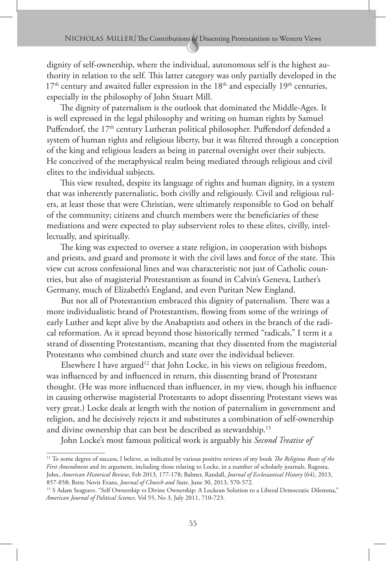dignity of self-ownership, where the individual, autonomous self is the highest authority in relation to the self. This latter category was only partially developed in the  $17<sup>th</sup>$  century and awaited fuller expression in the  $18<sup>th</sup>$  and especially  $19<sup>th</sup>$  centuries, especially in the philosophy of John Stuart Mill.

The dignity of paternalism is the outlook that dominated the Middle-Ages. It is well expressed in the legal philosophy and writing on human rights by Samuel Puffendorf, the 17<sup>th</sup> century Lutheran political philosopher. Puffendorf defended a system of human rights and religious liberty, but it was filtered through a conception of the king and religious leaders as being in paternal oversight over their subjects. He conceived of the metaphysical realm being mediated through religious and civil elites to the individual subjects.

This view resulted, despite its language of rights and human dignity, in a system that was inherently paternalistic, both civilly and religiously. Civil and religious rulers, at least those that were Christian, were ultimately responsible to God on behalf of the community; citizens and church members were the beneficiaries of these mediations and were expected to play subservient roles to these elites, civilly, intellectually, and spiritually.

The king was expected to oversee a state religion, in cooperation with bishops and priests, and guard and promote it with the civil laws and force of the state. This view cut across confessional lines and was characteristic not just of Catholic countries, but also of magisterial Protestantism as found in Calvin's Geneva, Luther's Germany, much of Elizabeth's England, and even Puritan New England.

But not all of Protestantism embraced this dignity of paternalism. There was a more individualistic brand of Protestantism, flowing from some of the writings of early Luther and kept alive by the Anabaptists and others in the branch of the radical reformation. As it spread beyond those historically termed "radicals," I term it a strand of dissenting Protestantism, meaning that they dissented from the magisterial Protestants who combined church and state over the individual believer.

Elsewhere I have argued<sup>12</sup> that John Locke, in his views on religious freedom, was influenced by and influenced in return, this dissenting brand of Protestant thought. (He was more influenced than influencer, in my view, though his influence in causing otherwise magisterial Protestants to adopt dissenting Protestant views was very great.) Locke deals at length with the notion of paternalism in government and religion, and he decisively rejects it and substitutes a combination of self-ownership and divine ownership that can best be described as stewardship.<sup>13</sup>

John Locke's most famous political work is arguably his *Second Treatise of* 

<sup>12</sup> To some degree of success, I believe, as indicated by various positive reviews of my book *!e Religious Roots of the First Amendment* and its argument, including those relating to Locke, in a number of scholarly journals. Ragosta, John, *American Historical Review*, Feb 2013, 177-178; Balmer, Randall, *Journal of Ecclesiastical History* (64), 2013, 857-858; Bette Novit Evans, *Journal of Church and State*, June 30, 2013, 570-572.

<sup>&</sup>lt;sup>13</sup> S Adam Seagrave. "Self Ownership vs Divine Ownership: A Lockean Solution to a Liberal Democratic Dilemma," *American Journal of Political Science*, Vol 55, No 3, July 2011, 710-723.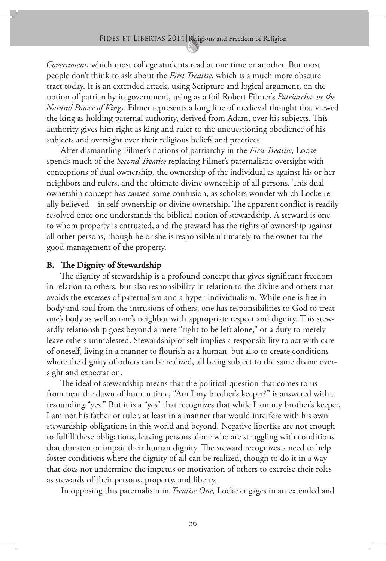*Government*, which most college students read at one time or another. But most people don't think to ask about the *First Treatise*, which is a much more obscure tract today. It is an extended attack, using Scripture and logical argument, on the notion of patriarchy in government, using as a foil Robert Filmer's *Patriarcha*: *or the Natural Power of Kings*. Filmer represents a long line of medieval thought that viewed the king as holding paternal authority, derived from Adam, over his subjects. This authority gives him right as king and ruler to the unquestioning obedience of his subjects and oversight over their religious beliefs and practices.

After dismantling Filmer's notions of patriarchy in the *First Treatise*, Locke spends much of the *Second Treatise* replacing Filmer's paternalistic oversight with conceptions of dual ownership, the ownership of the individual as against his or her neighbors and rulers, and the ultimate divine ownership of all persons. This dual ownership concept has caused some confusion, as scholars wonder which Locke really believed—in self-ownership or divine ownership. The apparent conflict is readily resolved once one understands the biblical notion of stewardship. A steward is one to whom property is entrusted, and the steward has the rights of ownership against all other persons, though he or she is responsible ultimately to the owner for the good management of the property.

# **B. !e Dignity of Stewardship**

The dignity of stewardship is a profound concept that gives significant freedom in relation to others, but also responsibility in relation to the divine and others that avoids the excesses of paternalism and a hyper-individualism. While one is free in body and soul from the intrusions of others, one has responsibilities to God to treat one's body as well as one's neighbor with appropriate respect and dignity. This stewardly relationship goes beyond a mere "right to be left alone," or a duty to merely leave others unmolested. Stewardship of self implies a responsibility to act with care of oneself, living in a manner to flourish as a human, but also to create conditions where the dignity of others can be realized, all being subject to the same divine oversight and expectation.

The ideal of stewardship means that the political question that comes to us from near the dawn of human time, "Am I my brother's keeper?" is answered with a resounding "yes." But it is a "yes" that recognizes that while I am my brother's keeper, I am not his father or ruler, at least in a manner that would interfere with his own stewardship obligations in this world and beyond. Negative liberties are not enough to fulfill these obligations, leaving persons alone who are struggling with conditions that threaten or impair their human dignity. The steward recognizes a need to help foster conditions where the dignity of all can be realized, though to do it in a way that does not undermine the impetus or motivation of others to exercise their roles as stewards of their persons, property, and liberty.

In opposing this paternalism in *Treatise One,* Locke engages in an extended and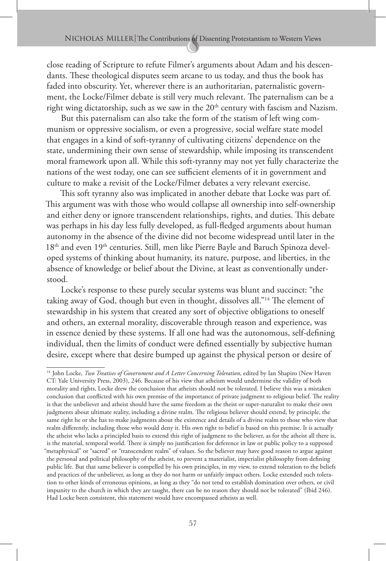close reading of Scripture to refute Filmer's arguments about Adam and his descendants. These theological disputes seem arcane to us today, and thus the book has faded into obscurity. Yet, wherever there is an authoritarian, paternalistic government, the Locke/Filmer debate is still very much relevant. The paternalism can be a right wing dictatorship, such as we saw in the  $20<sup>th</sup>$  century with fascism and Nazism.

But this paternalism can also take the form of the statism of left wing communism or oppressive socialism, or even a progressive, social welfare state model that engages in a kind of soft-tyranny of cultivating citizens' dependence on the state, undermining their own sense of stewardship, while imposing its transcendent moral framework upon all. While this soft-tyranny may not yet fully characterize the nations of the west today, one can see sufficient elements of it in government and culture to make a revisit of the Locke/Filmer debates a very relevant exercise.

This soft tyranny also was implicated in another debate that Locke was part of. This argument was with those who would collapse all ownership into self-ownership and either deny or ignore transcendent relationships, rights, and duties. This debate was perhaps in his day less fully developed, as full-fledged arguments about human autonomy in the absence of the divine did not become widespread until later in the 18<sup>th</sup> and even 19<sup>th</sup> centuries. Still, men like Pierre Bayle and Baruch Spinoza developed systems of thinking about humanity, its nature, purpose, and liberties, in the absence of knowledge or belief about the Divine, at least as conventionally understood.

Locke's response to these purely secular systems was blunt and succinct: "the taking away of God, though but even in thought, dissolves all."<sup>14</sup> The element of stewardship in his system that created any sort of objective obligations to oneself and others, an external morality, discoverable through reason and experience, was in essence denied by these systems. If all one had was the autonomous, self-defining individual, then the limits of conduct were defined essentially by subjective human desire, except where that desire bumped up against the physical person or desire of

<sup>14</sup> John Locke, *Two Treatises of Government and A Letter Concerning Toleration*, edited by Ian Shapiro (New Haven CT: Yale University Press, 2003), 246. Because of his view that atheism would undermine the validity of both morality and rights, Locke drew the conclusion that atheists should not be tolerated. I believe this was a mistaken conclusion that conflicted with his own premise of the importance of private judgment to religious belief. The reality is that the unbeliever and atheist should have the same freedom as the theist or super-naturalist to make their own judgments about ultimate reality, including a divine realm. The religious believer should extend, by principle, the same right he or she has to make judgments about the existence and details of a divine realm to those who view that realm differently, including those who would deny it. His own right to belief is based on this premise. It is actually the atheist who lacks a principled basis to extend this right of judgment to the believer, as for the atheist all there is, is the material, temporal world. There is simply no justification for deference in law or public policy to a supposed "metaphysical" or "sacred" or "transcendent realm" of values. So the believer may have good reason to argue against the personal and political philosophy of the atheist, to prevent a materialist, imperialist philosophy from defining public life. But that same believer is compelled by his own principles, in my view, to extend toleration to the beliefs and practices of the unbeliever, as long as they do not harm or unfairly impact others. Locke extended such toleration to other kinds of erroneous opinions, as long as they "do not tend to establish domination over others, or civil impunity to the church in which they are taught, there can be no reason they should not be tolerated" (Ibid 246). Had Locke been consistent, this statement would have encompassed atheists as well.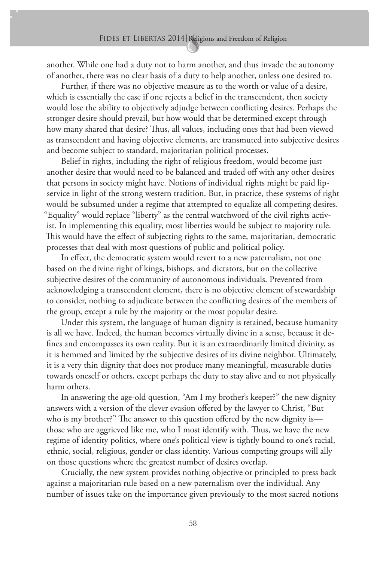another. While one had a duty not to harm another, and thus invade the autonomy of another, there was no clear basis of a duty to help another, unless one desired to.

Further, if there was no objective measure as to the worth or value of a desire, which is essentially the case if one rejects a belief in the transcendent, then society would lose the ability to objectively adjudge between conflicting desires. Perhaps the stronger desire should prevail, but how would that be determined except through how many shared that desire? Thus, all values, including ones that had been viewed as transcendent and having objective elements, are transmuted into subjective desires and become subject to standard, majoritarian political processes.

Belief in rights, including the right of religious freedom, would become just another desire that would need to be balanced and traded off with any other desires that persons in society might have. Notions of individual rights might be paid lipservice in light of the strong western tradition. But, in practice, these systems of right would be subsumed under a regime that attempted to equalize all competing desires. "Equality" would replace "liberty" as the central watchword of the civil rights activist. In implementing this equality, most liberties would be subject to majority rule. This would have the effect of subjecting rights to the same, majoritarian, democratic processes that deal with most questions of public and political policy.

In effect, the democratic system would revert to a new paternalism, not one based on the divine right of kings, bishops, and dictators, but on the collective subjective desires of the community of autonomous individuals. Prevented from acknowledging a transcendent element, there is no objective element of stewardship to consider, nothing to adjudicate between the conflicting desires of the members of the group, except a rule by the majority or the most popular desire.

Under this system, the language of human dignity is retained, because humanity is all we have. Indeed, the human becomes virtually divine in a sense, because it de fines and encompasses its own reality. But it is an extraordinarily limited divinity, as it is hemmed and limited by the subjective desires of its divine neighbor. Ultimately, it is a very thin dignity that does not produce many meaningful, measurable duties towards oneself or others, except perhaps the duty to stay alive and to not physically harm others.

In answering the age-old question, "Am I my brother's keeper?" the new dignity answers with a version of the clever evasion offered by the lawyer to Christ, "But who is my brother?" The answer to this question offered by the new dignity is those who are aggrieved like me, who I most identify with. Thus, we have the new regime of identity politics, where one's political view is tightly bound to one's racial, ethnic, social, religious, gender or class identity. Various competing groups will ally on those questions where the greatest number of desires overlap.

Crucially, the new system provides nothing objective or principled to press back against a majoritarian rule based on a new paternalism over the individual. Any number of issues take on the importance given previously to the most sacred notions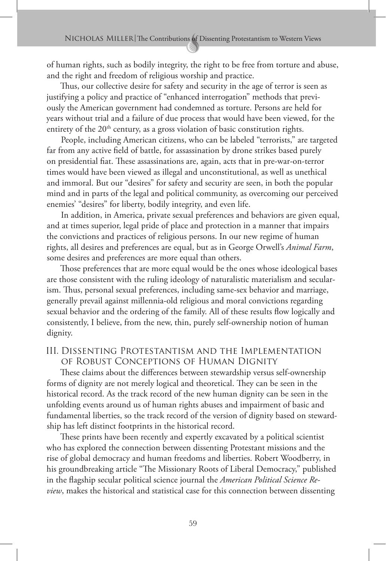of human rights, such as bodily integrity, the right to be free from torture and abuse, and the right and freedom of religious worship and practice.

Thus, our collective desire for safety and security in the age of terror is seen as justifying a policy and practice of "enhanced interrogation" methods that previously the American government had condemned as torture. Persons are held for years without trial and a failure of due process that would have been viewed, for the entirety of the  $20<sup>th</sup>$  century, as a gross violation of basic constitution rights.

People, including American citizens, who can be labeled "terrorists," are targeted far from any active field of battle, for assassination by drone strikes based purely on presidential fiat. These assassinations are, again, acts that in pre-war-on-terror times would have been viewed as illegal and unconstitutional, as well as unethical and immoral. But our "desires" for safety and security are seen, in both the popular mind and in parts of the legal and political community, as overcoming our perceived enemies' "desires" for liberty, bodily integrity, and even life.

In addition, in America, private sexual preferences and behaviors are given equal, and at times superior, legal pride of place and protection in a manner that impairs the convictions and practices of religious persons. In our new regime of human rights, all desires and preferences are equal, but as in George Orwell's *Animal Farm*, some desires and preferences are more equal than others.

Those preferences that are more equal would be the ones whose ideological bases are those consistent with the ruling ideology of naturalistic materialism and secularism. Thus, personal sexual preferences, including same-sex behavior and marriage, generally prevail against millennia-old religious and moral convictions regarding sexual behavior and the ordering of the family. All of these results flow logically and consistently, I believe, from the new, thin, purely self-ownership notion of human dignity.

# III. Dissenting Protestantism and the Implementation of Robust Conceptions of Human Dignity

These claims about the differences between stewardship versus self-ownership forms of dignity are not merely logical and theoretical. They can be seen in the historical record. As the track record of the new human dignity can be seen in the unfolding events around us of human rights abuses and impairment of basic and fundamental liberties, so the track record of the version of dignity based on stewardship has left distinct footprints in the historical record.

These prints have been recently and expertly excavated by a political scientist who has explored the connection between dissenting Protestant missions and the rise of global democracy and human freedoms and liberties. Robert Woodberry, in his groundbreaking article "The Missionary Roots of Liberal Democracy," published in the #agship secular political science journal the *American Political Science Review*, makes the historical and statistical case for this connection between dissenting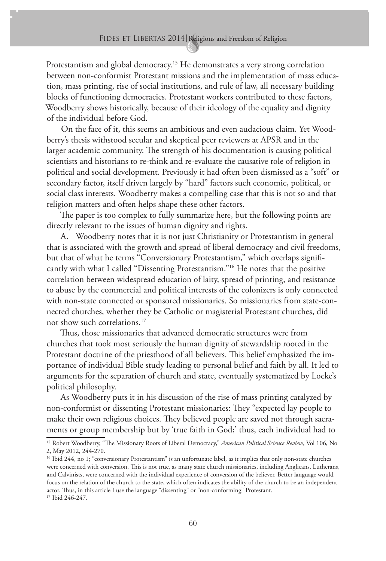Protestantism and global democracy.<sup>15</sup> He demonstrates a very strong correlation between non-conformist Protestant missions and the implementation of mass education, mass printing, rise of social institutions, and rule of law, all necessary building blocks of functioning democracies. Protestant workers contributed to these factors, Woodberry shows historically, because of their ideology of the equality and dignity of the individual before God.

On the face of it, this seems an ambitious and even audacious claim. Yet Woodberry's thesis withstood secular and skeptical peer reviewers at APSR and in the larger academic community. The strength of his documentation is causing political scientists and historians to re-think and re-evaluate the causative role of religion in political and social development. Previously it had often been dismissed as a "soft" or secondary factor, itself driven largely by "hard" factors such economic, political, or social class interests. Woodberry makes a compelling case that this is not so and that religion matters and often helps shape these other factors.

The paper is too complex to fully summarize here, but the following points are directly relevant to the issues of human dignity and rights.

A. Woodberry notes that it is not just Christianity or Protestantism in general that is associated with the growth and spread of liberal democracy and civil freedoms, but that of what he terms "Conversionary Protestantism," which overlaps significantly with what I called "Dissenting Protestantism."16 He notes that the positive correlation between widespread education of laity, spread of printing, and resistance to abuse by the commercial and political interests of the colonizers is only connected with non-state connected or sponsored missionaries. So missionaries from state-connected churches, whether they be Catholic or magisterial Protestant churches, did not show such correlations.17

Thus, those missionaries that advanced democratic structures were from churches that took most seriously the human dignity of stewardship rooted in the Protestant doctrine of the priesthood of all believers. This belief emphasized the importance of individual Bible study leading to personal belief and faith by all. It led to arguments for the separation of church and state, eventually systematized by Locke's political philosophy.

As Woodberry puts it in his discussion of the rise of mass printing catalyzed by non-conformist or dissenting Protestant missionaries: They "expected lay people to make their own religious choices. They believed people are saved not through sacraments or group membership but by 'true faith in God;' thus, each individual had to

<sup>&</sup>lt;sup>15</sup> Robert Woodberry, "The Missionary Roots of Liberal Democracy," American Political Science Review, Vol 106, No 2, May 2012, 244-270.

<sup>&</sup>lt;sup>16</sup> Ibid 244, no 1; "conversionary Protestantism" is an unfortunate label, as it implies that only non-state churches were concerned with conversion. This is not true, as many state church missionaries, including Anglicans, Lutherans, and Calvinists, were concerned with the individual experience of conversion of the believer. Better language would focus on the relation of the church to the state, which often indicates the ability of the church to be an independent actor. Thus, in this article I use the language "dissenting" or "non-conforming" Protestant.

<sup>17</sup> Ibid 246-247.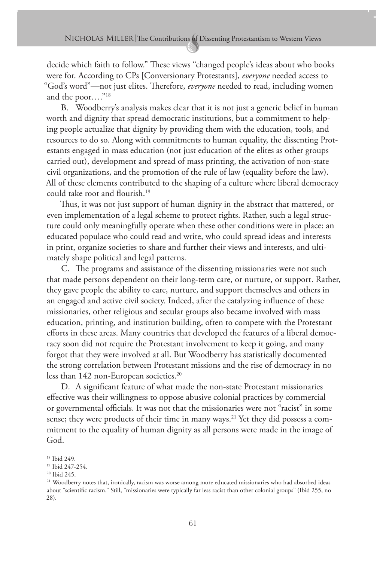decide which faith to follow." These views "changed people's ideas about who books were for. According to CPs [Conversionary Protestants], *everyone* needed access to "God's word"-not just elites. Therefore, *everyone* needed to read, including women and the poor…."18

B. Woodberry's analysis makes clear that it is not just a generic belief in human worth and dignity that spread democratic institutions, but a commitment to helping people actualize that dignity by providing them with the education, tools, and resources to do so. Along with commitments to human equality, the dissenting Protestants engaged in mass education (not just education of the elites as other groups carried out), development and spread of mass printing, the activation of non-state civil organizations, and the promotion of the rule of law (equality before the law). All of these elements contributed to the shaping of a culture where liberal democracy could take root and flourish.<sup>19</sup>

Thus, it was not just support of human dignity in the abstract that mattered, or even implementation of a legal scheme to protect rights. Rather, such a legal structure could only meaningfully operate when these other conditions were in place: an educated populace who could read and write, who could spread ideas and interests in print, organize societies to share and further their views and interests, and ultimately shape political and legal patterns.

C. The programs and assistance of the dissenting missionaries were not such that made persons dependent on their long-term care, or nurture, or support. Rather, they gave people the ability to care, nurture, and support themselves and others in an engaged and active civil society. Indeed, after the catalyzing influence of these missionaries, other religious and secular groups also became involved with mass education, printing, and institution building, often to compete with the Protestant efforts in these areas. Many countries that developed the features of a liberal democracy soon did not require the Protestant involvement to keep it going, and many forgot that they were involved at all. But Woodberry has statistically documented the strong correlation between Protestant missions and the rise of democracy in no less than 142 non-European societies.<sup>20</sup>

D. A significant feature of what made the non-state Protestant missionaries effective was their willingness to oppose abusive colonial practices by commercial or governmental officials. It was not that the missionaries were not "racist" in some sense; they were products of their time in many ways.<sup>21</sup> Yet they did possess a commitment to the equality of human dignity as all persons were made in the image of God.

<sup>18</sup> Ibid 249.

<sup>19</sup> Ibid 247-254.

<sup>&</sup>lt;sup>20</sup> Ibid 245.

<sup>&</sup>lt;sup>21</sup> Woodberry notes that, ironically, racism was worse among more educated missionaries who had absorbed ideas about "scientific racism." Still, "missionaries were typically far less racist than other colonial groups" (Ibid 255, no 28).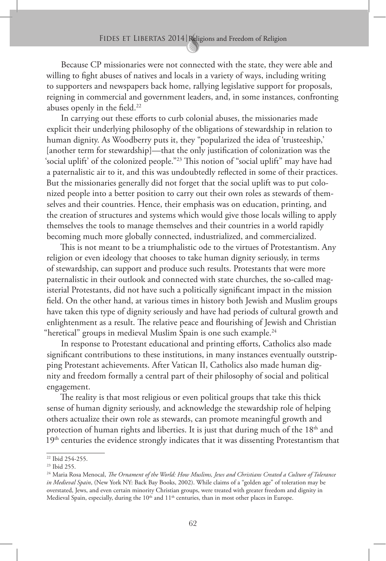Because CP missionaries were not connected with the state, they were able and willing to fight abuses of natives and locals in a variety of ways, including writing to supporters and newspapers back home, rallying legislative support for proposals, reigning in commercial and government leaders, and, in some instances, confronting abuses openly in the field.<sup>22</sup>

In carrying out these efforts to curb colonial abuses, the missionaries made explicit their underlying philosophy of the obligations of stewardship in relation to human dignity. As Woodberry puts it, they "popularized the idea of 'trusteeship,' [another term for stewardship]—that the only justification of colonization was the 'social uplift' of the colonized people."<sup>23</sup> This notion of "social uplift" may have had a paternalistic air to it, and this was undoubtedly reflected in some of their practices. But the missionaries generally did not forget that the social uplift was to put colonized people into a better position to carry out their own roles as stewards of themselves and their countries. Hence, their emphasis was on education, printing, and the creation of structures and systems which would give those locals willing to apply themselves the tools to manage themselves and their countries in a world rapidly becoming much more globally connected, industrialized, and commercialized.

This is not meant to be a triumphalistic ode to the virtues of Protestantism. Any religion or even ideology that chooses to take human dignity seriously, in terms of stewardship, can support and produce such results. Protestants that were more paternalistic in their outlook and connected with state churches, the so-called magisterial Protestants, did not have such a politically significant impact in the mission field. On the other hand, at various times in history both Jewish and Muslim groups have taken this type of dignity seriously and have had periods of cultural growth and enlightenment as a result. The relative peace and flourishing of Jewish and Christian "heretical" groups in medieval Muslim Spain is one such example.<sup>24</sup>

In response to Protestant educational and printing efforts, Catholics also made significant contributions to these institutions, in many instances eventually outstripping Protestant achievements. After Vatican II, Catholics also made human dignity and freedom formally a central part of their philosophy of social and political engagement.

The reality is that most religious or even political groups that take this thick sense of human dignity seriously, and acknowledge the stewardship role of helping others actualize their own role as stewards, can promote meaningful growth and protection of human rights and liberties. It is just that during much of the 18<sup>th</sup> and 19<sup>th</sup> centuries the evidence strongly indicates that it was dissenting Protestantism that

<sup>22</sup> Ibid 254-255.

<sup>23</sup> Ibid 255.

<sup>24</sup> Maria Rosa Menocal, *!e Ornament of the World: How Muslims, Jews and Christians Created a Culture of Tolerance in Medieval Spain*, (New York NY: Back Bay Books, 2002). While claims of a "golden age" of toleration may be overstated, Jews, and even certain minority Christian groups, were treated with greater freedom and dignity in Medieval Spain, especially, during the 10<sup>th</sup> and 11<sup>th</sup> centuries, than in most other places in Europe.